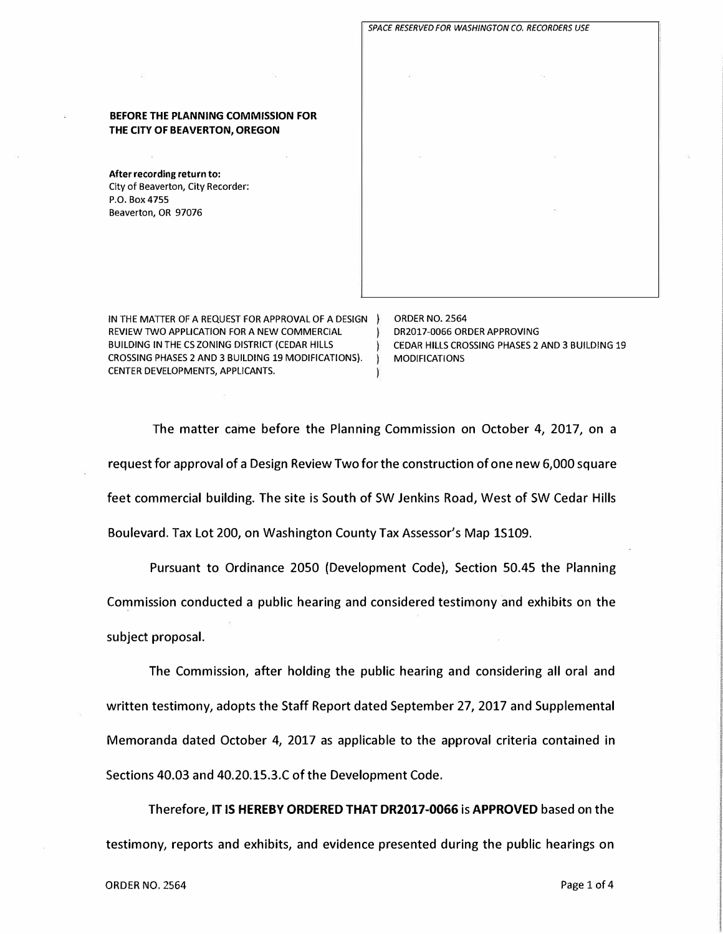BEFORE THE PLANNING COMMISSION FOR THE CITY OF BEAVERTON, OREGON

**After recording return to:**  City of Beaverton, City Recorder: P.O. Box 4755 Beaverton, OR 97076

IN THE MATTER OF A REQUEST FOR APPROVAL OF A DESIGN ) REVIEW TWO APPLICATION FOR A NEW COMMERCIAL BUILDING IN THE CS ZONING DISTRICT (CEDAR HILLS CROSSING PHASES 2 AND 3 BUILDING 19 MODIFICATIONS). CENTER DEVELOPMENTS, APPLICANTS.

ORDER NO. 2564 DR2017-0066 ORDER APPROVING CEDAR HILLS CROSSING PHASES 2 AND 3 BUILDING 19 MODIFICATIONS

*SPACE RESERVED FOR WASHINGTON CO, RECORDERS USE* 

The matter came before the Planning Commission on October 4, 2017, on a request for approval of a Design Review Two for the construction of one new 6,000 square feet commercial building. The site is South of SW Jenkins Road, West of SW Cedar Hills Boulevard. Tax Lot 200, on Washington County Tax Assessor's Map 15109.

Pursuant to Ordinance 2050 (Development Code), Section 50.45 the Planning Commission conducted a public hearing and considered testimony and exhibits on the subject proposal.

The Commission, after holding the public hearing and considering all oral and written testimony, adopts the Staff Report dated September 27, 2017 and Supplemental Memoranda dated October 4, 2017 as applicable to the approval criteria contained in Sections 40.03 and 40.20.15.3.C of the Development Code.

Therefore, IT **IS HEREBY ORDERED THAT DR2017-0066** is **APPROVED** based on the testimony, reports and exhibits, and evidence presented during the public hearings on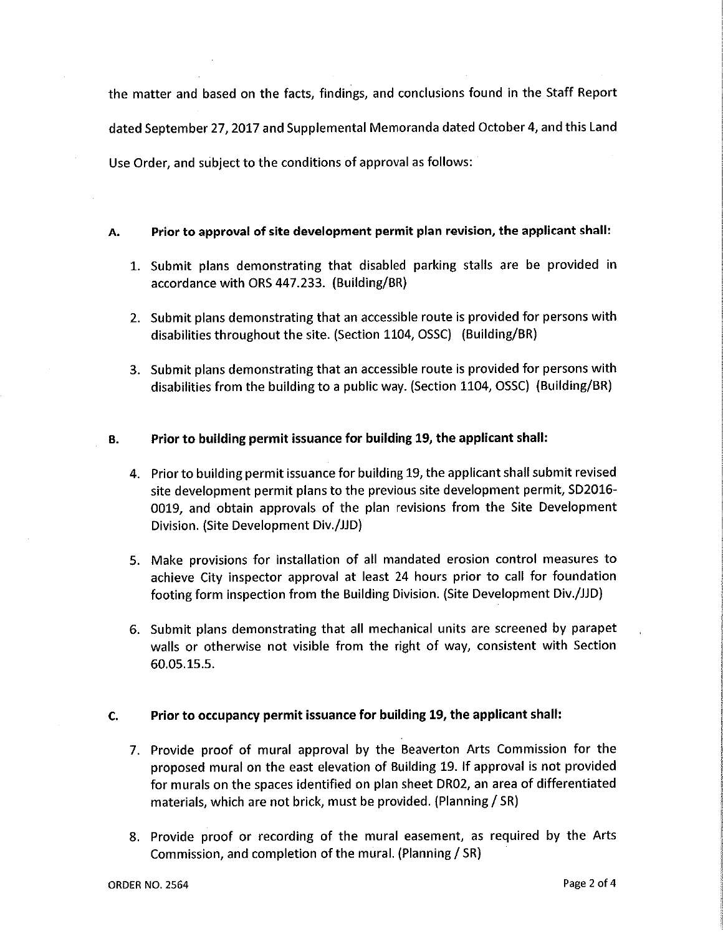the matter and based on the facts, findings, and conclusions found in the Staff Report dated September 27, 2017 and Supplemental Memoranda dated October 4, and this Land Use Order, and subject to the conditions of approval as follows:

## Prior to approval of site development permit plan revision, the applicant shall: А.

- 1. Submit plans demonstrating that disabled parking stalls are be provided in accordance with ORS 447.233. (Building/BR)
- 2. Submit plans demonstrating that an accessible route is provided for persons with disabilities throughout the site. (Section 1104, OSSC) (Building/BR)
- 3. Submit plans demonstrating that an accessible route is provided for persons with disabilities from the building to a public way. (Section 1104, OSSC) (Building/BR)

## Prior to building permit issuance for building 19, the applicant shall: В.

- 4. Prior to building permit issuance for building 19, the applicant shall submit revised site development permit plans to the previous site development permit, SD2016-0019, and obtain approvals of the plan revisions from the Site Development Division. (Site Development Div./JJD)
- 5. Make provisions for installation of all mandated erosion control measures to achieve City inspector approval at least 24 hours prior to call for foundation footing form inspection from the Building Division. (Site Development Div./JJD)
- 6. Submit plans demonstrating that all mechanical units are screened by parapet walls or otherwise not visible from the right of way, consistent with Section 60.05.15.5.

## Prior to occupancy permit issuance for building 19, the applicant shall:  $\mathbf{C}$ .

- 7. Provide proof of mural approval by the Beaverton Arts Commission for the proposed mural on the east elevation of Building 19. If approval is not provided for murals on the spaces identified on plan sheet DR02, an area of differentiated materials, which are not brick, must be provided. (Planning / SR)
- 8. Provide proof or recording of the mural easement, as required by the Arts Commission, and completion of the mural. (Planning / SR)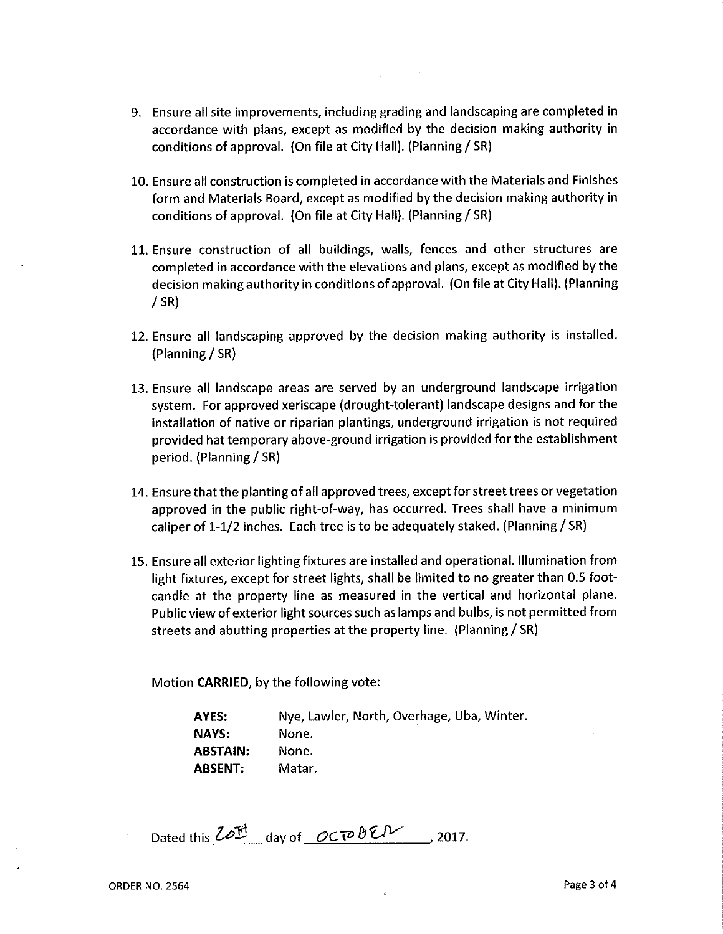- 9. Ensure all site improvements, including grading and landscaping are completed in accordance with plans, except as modified by the decision making authority in conditions of approval. (On file at City Hall). (Planning / SR)
- 10. Ensure all construction is completed in accordance with the Materials and Finishes form and Materials Board, except as modified by the decision making authority in conditions of approval. (On file at City Hall). (Planning / SR)
- 11. Ensure construction of all buildings, walls, fences and other structures are completed in accordance with the elevations and plans, except as modified by the decision making authority in conditions of approval. (On file at City Hall). (Planning  $/$  SR)
- 12. Ensure all landscaping approved by the decision making authority is installed. (Planning / SR)
- 13. Ensure all landscape areas are served by an underground landscape irrigation system. For approved xeriscape (drought-tolerant) landscape designs and for the installation of native or riparian plantings, underground irrigation is not required provided hat temporary above-ground irrigation is provided for the establishment period. (Planning / SR)
- 14. Ensure that the planting of all approved trees, except for street trees or vegetation approved in the public right-of-way, has occurred. Trees shall have a minimum caliper of 1-1/2 inches. Each tree is to be adequately staked. (Planning / SR)
- 15. Ensure all exterior lighting fixtures are installed and operational. Illumination from light fixtures, except for street lights, shall be limited to no greater than 0.5 footcandle at the property line as measured in the vertical and horizontal plane. Public view of exterior light sources such as lamps and bulbs, is not permitted from streets and abutting properties at the property line. (Planning / SR)

Motion **CARRIED**, by the following vote:

Nye, Lawler, North, Overhage, Uba, Winter. AYES: **NAYS:** None. **ABSTAIN:** None. **ABSENT:** Matar.

Dated this Lord day of OCTOBEN  $, 2017.$